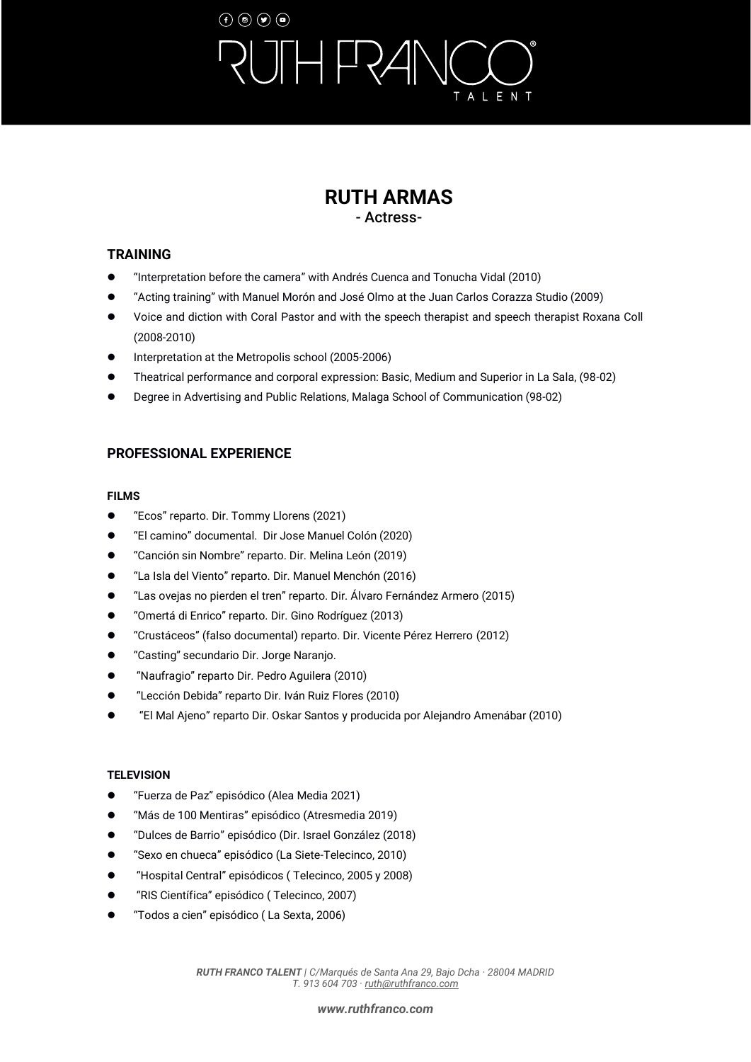## $\left(\mathbf{f}\right)\left(\mathbf{0}\right)\left(\mathbf{g}\right)\left(\mathbf{0}\right)$  $\Box$ ALENT

## **RUTH ARMAS** - Actress-

## **TRAINING**

- ⚫ "Interpretation before the camera" with Andrés Cuenca and Tonucha Vidal (2010)
- ⚫ "Acting training" with Manuel Morón and José Olmo at the Juan Carlos Corazza Studio (2009)
- ⚫ Voice and diction with Coral Pastor and with the speech therapist and speech therapist Roxana Coll (2008-2010)
- Interpretation at the Metropolis school (2005-2006)
- ⚫ Theatrical performance and corporal expression: Basic, Medium and Superior in La Sala, (98-02)
- ⚫ Degree in Advertising and Public Relations, Malaga School of Communication (98-02)

## **PROFESSIONAL EXPERIENCE**

### **FILMS**

- "Ecos" reparto. Dir. Tommy Llorens (2021)
- ⚫ "El camino" documental. Dir Jose Manuel Colón (2020)
- ⚫ "Canción sin Nombre" reparto. Dir. Melina León (2019)
- ⚫ "La Isla del Viento" reparto. Dir. Manuel Menchón (2016)
- ⚫ "Las ovejas no pierden el tren" reparto. Dir. Álvaro Fernández Armero (2015)
- "Omertá di Enrico" reparto. Dir. Gino Rodríguez (2013)
- ⚫ "Crustáceos" (falso documental) reparto. Dir. Vicente Pérez Herrero (2012)
- ⚫ "Casting" secundario Dir. Jorge Naranjo.
- ⚫ "Naufragio" reparto Dir. Pedro Aguilera (2010)
- ⚫ "Lección Debida" reparto Dir. Iván Ruiz Flores (2010)
- ⚫ "El Mal Ajeno" reparto Dir. Oskar Santos y producida por Alejandro Amenábar (2010)

### **TELEVISION**

- ⚫ "Fuerza de Paz" episódico (Alea Media 2021)
- ⚫ "Más de 100 Mentiras" episódico (Atresmedia 2019)
- ⚫ "Dulces de Barrio" episódico (Dir. Israel González (2018)
- ⚫ "Sexo en chueca" episódico (La Siete-Telecinco, 2010)
- ⚫ "Hospital Central" episódicos ( Telecinco, 2005 y 2008)
- ⚫ "RIS Científica" episódico ( Telecinco, 2007)
- ⚫ "Todos a cien" episódico ( La Sexta, 2006)

*RUTH FRANCO TALENT | C/Marqués de Santa Ana 29, Bajo Dcha · 28004 MADRID T. 913 604 703 [· ruth@ruthfranco.com](mailto:ruth@ruthfranco.com)*

#### *[www.ruthfranco.com](https://www.ruthfranco.com/)*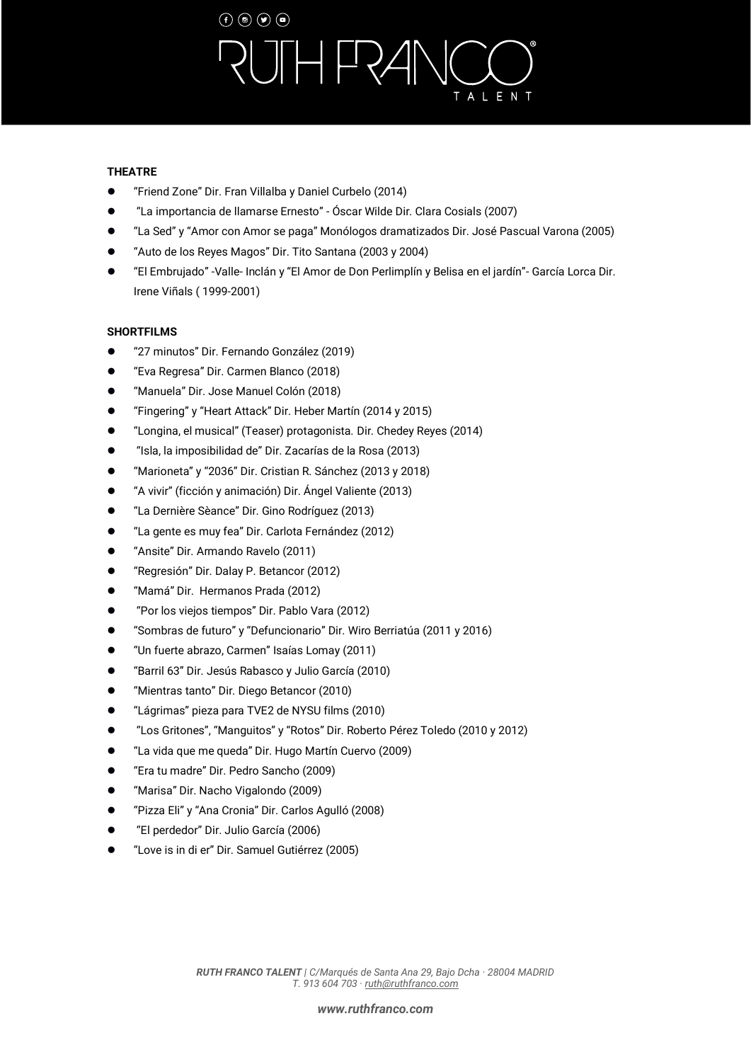# $\left(\mathbf{f}\right)\left(\mathbf{0}\right)\left(\mathbf{g}\right)\left(\mathbf{0}\right)$  $H$ FR $\angle$ ALENT

#### **THEATRE**

- ⚫ "Friend Zone" Dir. Fran Villalba y Daniel Curbelo (2014)
- ⚫ "La importancia de llamarse Ernesto" Óscar Wilde Dir. Clara Cosials (2007)
- ⚫ "La Sed" y "Amor con Amor se paga" Monólogos dramatizados Dir. José Pascual Varona (2005)
- ⚫ "Auto de los Reyes Magos" Dir. Tito Santana (2003 y 2004)
- ⚫ "El Embrujado" -Valle- Inclán y "El Amor de Don Perlimplín y Belisa en el jardín"- García Lorca Dir. Irene Viñals ( 1999-2001)

#### **SHORTFILMS**

- ⚫ "27 minutos" Dir. Fernando González (2019)
- ⚫ "Eva Regresa" Dir. Carmen Blanco (2018)
- ⚫ "Manuela" Dir. Jose Manuel Colón (2018)
- ⚫ "Fingering" y "Heart Attack" Dir. Heber Martín (2014 y 2015)
- ⚫ "Longina, el musical" (Teaser) protagonista. Dir. Chedey Reyes (2014)
- ⚫ "Isla, la imposibilidad de" Dir. Zacarías de la Rosa (2013)
- ⚫ "Marioneta" y "2036" Dir. Cristian R. Sánchez (2013 y 2018)
- ⚫ "A vivir" (ficción y animación) Dir. Ángel Valiente (2013)
- ⚫ "La Dernière Sèance" Dir. Gino Rodríguez (2013)
- ⚫ "La gente es muy fea" Dir. Carlota Fernández (2012)
- ⚫ "Ansite" Dir. Armando Ravelo (2011)
- ⚫ "Regresión" Dir. Dalay P. Betancor (2012)
- "Mamá" Dir. Hermanos Prada (2012)
- ⚫ "Por los viejos tiempos" Dir. Pablo Vara (2012)
- ⚫ "Sombras de futuro" y "Defuncionario" Dir. Wiro Berriatúa (2011 y 2016)
- ⚫ "Un fuerte abrazo, Carmen" Isaías Lomay (2011)
- ⚫ "Barril 63" Dir. Jesús Rabasco y Julio García (2010)
- ⚫ "Mientras tanto" Dir. Diego Betancor (2010)
- ⚫ "Lágrimas" pieza para TVE2 de NYSU films (2010)
- ⚫ "Los Gritones", "Manguitos" y "Rotos" Dir. Roberto Pérez Toledo (2010 y 2012)
- ⚫ "La vida que me queda" Dir. Hugo Martín Cuervo (2009)
- ⚫ "Era tu madre" Dir. Pedro Sancho (2009)
- ⚫ "Marisa" Dir. Nacho Vigalondo (2009)
- ⚫ "Pizza Eli" y "Ana Cronia" Dir. Carlos Agulló (2008)
- ⚫ "El perdedor" Dir. Julio García (2006)
- ⚫ "Love is in di er" Dir. Samuel Gutiérrez (2005)